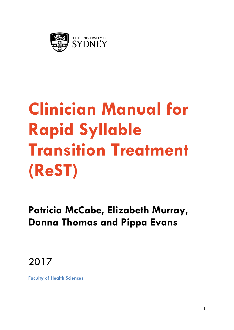

# **Clinician Manual for Rapid Syllable Transition Treatment (ReST)**

**Patricia McCabe, Elizabeth Murray, Donna Thomas and Pippa Evans** 

2017

**Faculty of Health Sciences**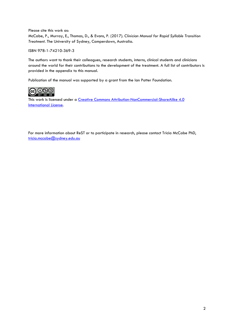Please cite this work as: McCabe, P., Murray, E., Thomas, D., & Evans, P. (2017). *Clinician Manual for Rapid Syllable Transition Treatment.* The University of Sydney, Camperdown, Australia.

ISBN 978-1-74210-369-3

The authors want to thank their colleagues, research students, interns, clinical students and clinicians around the world for their contributions to the development of the treatment. A full list of contributors is provided in the appendix to this manual.

Publication of the manual was supported by a grant from the Ian Potter Foundation.



This work is licensed under a Creative Commons Attribution-NonCommercial-ShareAlike 4.0 International License.

For more information about ReST or to participate in research, please contact Tricia McCabe PhD, tricia.mccabe@sydney.edu.au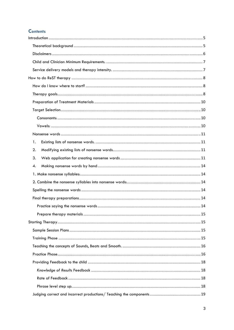# **Contents**

| 1. |  |
|----|--|
| 2. |  |
| 3. |  |
| 4. |  |
|    |  |
|    |  |
|    |  |
|    |  |
|    |  |
|    |  |
|    |  |
|    |  |
|    |  |
|    |  |
|    |  |
|    |  |
|    |  |
|    |  |
|    |  |
|    |  |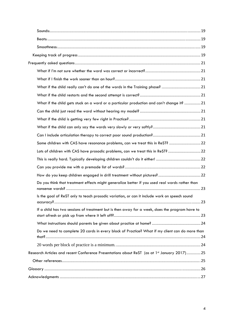| What if the child really can't do one of the words in the Training phase? 21                              |    |
|-----------------------------------------------------------------------------------------------------------|----|
|                                                                                                           |    |
| What if the child gets stuck on a word or a particular production and can't change it? 21                 |    |
|                                                                                                           |    |
|                                                                                                           |    |
|                                                                                                           |    |
|                                                                                                           |    |
| Some children with CAS have resonance problems, can we treat this in ReST?  22                            |    |
| Lots of children with CAS have prosodic problems, can we treat this in ReST?  22                          |    |
|                                                                                                           |    |
|                                                                                                           |    |
|                                                                                                           |    |
| Do you think that treatment effects might generalize better if you used real words rather than            |    |
| Is the goal of ReST only to teach prosodic variation, or can it include work on speech sound<br>accuracy? | 23 |
| If a child has two sessions of treatment but is then away for a week, does the program have to            |    |
|                                                                                                           |    |
| Do we need to complete 20 cards in every block of Practice? What if my client can do more than            |    |
|                                                                                                           |    |
| Research Articles and recent Conference Presentations about ReST (as at 1st January 2017)25               |    |
|                                                                                                           |    |
|                                                                                                           |    |
|                                                                                                           |    |
|                                                                                                           |    |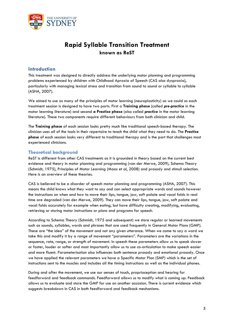

# **Rapid Syllable Transition Treatment known as ReST**

# **Introduction**

This treatment was designed to directly address the underlying motor planning and programming problems experienced by children with Childhood Apraxia of Speech (CAS also dyspraxia), particularly with managing lexical stress and transition from sound to sound or syllable to syllable (ASHA, 2007).

We aimed to use as many of the principles of motor learning (neuroplasticity) as we could so each treatment session is designed to have two parts. First a **Training phase** (called *pre-practice* in the motor learning literature) and second **a Practice phase** (also called *practice* in the motor learning literature). These two components require different behaviours from both clinician and child.

The **Training phase** of each session looks pretty much like traditional speech-based therapy. The clinician uses all of the tools in their repertoire to teach the child what they need to do. The **Practice phase** of each session looks very different to traditional therapy and is the part that challenges most experienced clinicians.

# **Theoretical background**

ReST is different from other CAS treatments as it is grounded in theory based on the current best evidence and theory in motor planning and programming (van der Merwe, 2009), Schema Theory (Schmidt, 1975), Principles of Motor Learning (Maas et al, 2008) and prosody and stimuli selection. Here is an overview of these theories.

CAS is believed to be a disorder of speech motor planning and programming (ASHA, 2007). This means the child knows what they want to say and can select appropriate words and sounds however the instructions on when and how to move their lips, tongue, jaw, soft palate and vocal folds in real time are degraded (van der Merwe, 2009). They can move their lips, tongue, jaw, soft palate and vocal folds accurately for example when eating, but have difficulty creating, modifying, evaluating, retrieving or storing motor instructions or plans and programs for speech.

According to Schema Theory (Schmidt, 1975 and subsequent) we store regular or learned movements such as sounds, syllables, words and phrases that are used frequently in General Motor Plans (GMP). These are "the idea" of the movement and not any given utterance. When we come to say a word we take this and modify it by a range of movement "parameters". Parameters are the variations in the sequence, rate, range, or strength of movement. In speech these parameters allow us to speak slower or faster, louder or softer and most importantly allow us to use co-articulation to make speech easier and more fluent. Parameterisation also influences both sentence prosody and emotional prosody. Once we have applied the relevant parameters we have a Specific Motor Plan (SMP) which is the set of instructions sent to the muscles and includes all the timing instructions as well as the individual phones.

During and after the movement, we use our senses of touch, proprioception and hearing for feedforward and feedback commands. Feedforward allows us to modify what is coming up. Feedback allows us to evaluate and store the GMP for use on another occasion. There is current evidence which suggests breakdown in CAS in both feedforward and feedback mechanisms.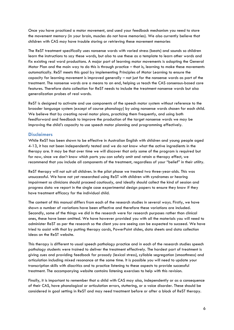Once you have practiced a motor movement, and used your feedback mechanism you need to store the movement memory (in your brain, muscles do not have memories). We also currently believe that children with CAS may have trouble storing or retrieving these movement memories

The ReST treatment specifically uses nonsense words with varied stress (beats) and sounds so children learn the instructions to say these words, but also to use these as a template to learn other words and fix existing real word productions. A major part of learning motor movements is adapting the General Motor Plan and the main way to do this is through practice – that is, learning to make these movements automatically. ReST meets this goal by implementing Principles of Motor Learning to ensure the capacity for learning movement is improved generally – not just for the nonsense words as part of the treatment. The nonsense words are a means to an end, helping us teach the CAS consensus-based core features. Therefore data collection for ReST needs to include the treatment nonsense words but also generalization probes of real words.

ReST is designed to activate and use components of the speech motor system without reference to the broader language system (except of course phonology) by using nonsense words chosen for each child. We believe that by creating novel motor plans, practicing them frequently, and using both feedforward and feedback to improve the production of the target nonsense words we may be improving the child's capacity to use speech motor planning and programming effectively.

# **Disclaimers**

While ReST has been shown to be effective in Australian English with children and young people aged 4-13, it has not been independently tested and we do not know what the active ingredients in the therapy are. It may be that over time we will discover that only some of the program is required but for now, since we don't know which parts you can safely omit and retain a therapy effect, we recommend that you include all components of the treatment, regardless of your "belief" in their utility.

ReST therapy will not suit all children. In the pilot phase we treated two three-year-olds. This was unsuccessful. We have not yet researched using ReST with children with syndromes or hearing impairment so clinicians should proceed cautiously, and ideally should collect the kind of session and progress data we report in the single case experimental design papers to ensure they know if they have treatment efficacy for the individual child.

The content of this manual differs from each of the research studies in several ways. Firstly, we have shown a number of variations have been effective and therefore these variations are included. Secondly, some of the things we did in the research were for research purposes rather than clinical ones, these have been omitted. We have however provided you with all the materials you will need to administer ReST as per the research so the client you are seeing can be expected to succeed. We have tried to assist with that by putting therapy cards, PowerPoint slides, data sheets and data collection ideas on the ReST website.

This therapy is different to usual speech pathology practice and in each of the research studies speech pathology students were trained to deliver the treatment effectively. The hardest part of treatment is giving cues and providing feedback for prosody (lexical stress), syllable segregation (smoothness) and articulation including mixed resonance at the same time. It is possible you will need to update your transcription skills with diacritics and to practice listening to these aspects to provide successful treatment. The accompanying website contains listening exercises to help with this revision.

Finally, it is important to remember that a child with CAS may also, independently or as a consequence of their CAS, have phonological or articulation errors, stuttering, or a voice disorder. These should be considered in goal setting in ReST and may need treatment before or after a block of ReST therapy.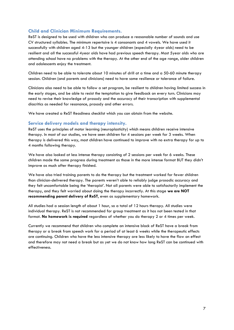# **Child and Clinician Minimum Requirements.**

ReST is designed to be used with children who can produce a reasonable number of sounds and use CV structured syllables. The minimum repertoire is 4 consonants and 4 vowels. We have used it successfully with children aged 4-13 but the younger children (especially 4year olds) need to be resilient and all the successful 4year olds have had previous speech therapy. Most 5year olds who are attending school have no problems with the therapy. At the other end of the age range, older children and adolescents enjoy the treatment.

Children need to be able to tolerate about 10 minutes of drill at a time and a 50-60 minute therapy session. Children (and parents and clinicians) need to have some resilience or tolerance of failure.

Clinicians also need to be able to follow a set program, be resilient to children having limited success in the early stages, and be able to resist the temptation to give feedback on every turn. Clinicians may need to revise their knowledge of prosody and the accuracy of their transcription with supplemental diacritics as needed for resonance, prosody and other errors.

We have created a ReST Readiness checklist which you can obtain from the website.

# **Service delivery models and therapy intensity.**

ReST uses the principles of motor learning (neuroplasticity) which means children receive intensive therapy. In most of our studies, we have seen children for 4 sessions per week for 3 weeks. When therapy is delivered this way, most children have continued to improve with no extra therapy for up to 4 months following therapy.

We have also looked at less intense therapy consisting of 2 sessions per week for 6 weeks. These children made the same progress during treatment as those in the more intense format BUT they didn't improve as much after therapy finished.

We have also tried training parents to do the therapy but the treatment worked for fewer children than clinician-delivered therapy. The parents weren't able to reliably judge prosodic accuracy and they felt uncomfortable being the 'therapist'. Not all parents were able to satisfactorily implement the therapy, and they felt worried about doing the therapy incorrectly. At this stage **we are NOT recommending parent delivery of ReST**, even as supplementary homework.

All studies had a session length of about 1 hour, so a total of 12 hours therapy. All studies were individual therapy. ReST is not recommended for group treatment as it has not been tested in that format. **No homework is required** regardless of whether you do therapy 2 or 4 times per week.

Currently we recommend that children who complete an intensive block of ReST have a break from therapy or a break from speech work for a period of at least 6 weeks while the therapeutic effects are continuing. Children who have the less intensive therapy are less likely to have the flow on effect and therefore may not need a break but as yet we do not know how long ReST can be continued with effectiveness.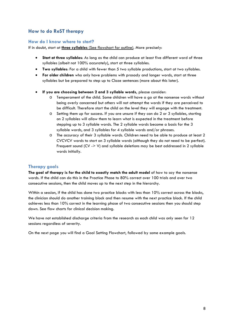# **How to do ReST therapy**

# **How do I know where to start?**

If in doubt, start at **three syllables** (See flowchart for outline). More precisely:

- **Start at three syllables**: As long as the child can produce at least five different word of three syllables (albeit not 100% accurately), start at three syllables.
- **Two syllables**: For a child with fewer than 5 two syllable productions, start at two syllables.
- **For older children** who only have problems with prosody and longer words, start at three syllables but be prepared to step up to Cloze sentences (more about this later).
- **If you are choosing between 2 and 3 syllable words,** please consider:
	- o Temperament of the child. Some children will have a go at the nonsense words without being overly concerned but others will not attempt the words if they are perceived to be difficult. Therefore start the child on the level they will engage with the treatment.
	- o Setting them up for success. If you are unsure if they can do 2 or 3 syllables, starting on 2 syllables will allow them to learn what is expected in the treatment before stepping up to 3 syllable words. The 2 syllable words become a basis for the 3 syllable words, and 3 syllables for 4 syllable words and/or phrases.
	- o The accuracy of their 3 syllable words. Children need to be able to produce at least 2 CVCVCV words to start on 3 syllable words (although they do not need to be perfect). Frequent sound (CV -> V) and syllable deletions may be best addressed in 2 syllable words initially.

# **Therapy goals**

**The goal of therapy is for the child to exactly match the adult model** of how to say the nonsense words. If the child can do this in the Practice Phase to 80% correct over 100 trials and over two consecutive sessions, then the child moves up to the next step in the hierarchy.

Within a session, if the child has done two practice blocks with less than 10% correct across the blocks, the clinician should do another training block and then resume with the next practice block. If the child achieves less than 10% correct in the learning phase of two consecutive sessions then you should step down. See flow charts for clinical decision making.

We have not established discharge criteria from the research as each child was only seen for 12 sessions regardless of severity.

On the next page you will find a Goal Setting Flowchart, followed by some example goals.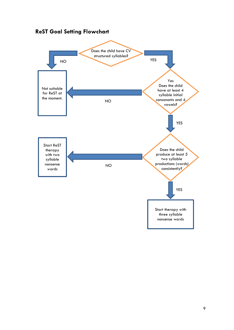

# **ReST Goal Setting Flowchart**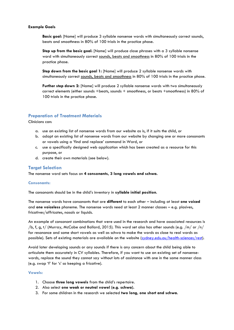#### **Example Goals**

Basic goal: [Name] will produce 3 syllable nonsense words with simultaneously correct sounds, beats and smoothness in 80% of 100 trials in the practice phase.

**Step up from the basic goal**: [Name] will produce close phrases with a 3 syllable nonsense word with simultaneously correct sounds, beats and smoothness in 80% of 100 trials in the practice phase.

**Step down from the basic goal 1:** [Name] will produce 2 syllable nonsense words with simultaneously correct sounds, beats and smoothness in 80% of 100 trials in the practice phase.

**Further step down 2:** [Name] will produce 2 syllable nonsense words with two simultaneously correct elements (either sounds +beats, sounds + smoothness, or beats +smoothness) in 80% of 100 trials in the practice phase.

# **Preparation of Treatment Materials**

Clinicians can:

- a. use an existing list of nonsense words from our website as is, if it suits the child, or
- b. adapt an existing list of nonsense words from our website by changing one or more consonants or vowels using a 'find and replace' command in Word, or
- c. use a specifically designed web application which has been created as a resource for this purpose, or
- d. create their own materials (see below).

# **Target Selection**

The nonsense word sets focus on **4 consonants, 3 long vowels and schwa.** 

#### **Consonants:**

The consonants should be in the child's inventory in **syllable initial position**.

The nonsense words have consonants that are **different** to each other – including at least **one voiced** and **one voiceless** phoneme. The nonsense words need at least 2 manner classes – e.g. plosives, fricatives/affricates, nasals or liquids.

An example of consonant combinations that were used in the research and have associated resources is /b, f, g, t/ (Murray, McCabe and Ballard, 2015). This word set also has other sounds (e.g. /m/ or /n/ for resonance and some short vowels as well as schwa to make the words as close to real words as possible). Sets of existing materials are available on the website (sydney.edu.au/health-sciences/rest).

Avoid later developing sounds or any sounds if there is any concern about the child being able to articulate them accurately in CV syllables. Therefore, if you want to use an existing set of nonsensewords, replace the sound they cannot say without lots of assistance with one in the same manner class (e.g. swap 'f' for 's' so keeping a fricative).

#### **Vowels:**

- 1. Choose **three long vowels** from the child's repertoire.
- 2. Also select **one weak or neutral vowel (e.g. schwa).**
- 3. For some children in the research we selected **two long, one short and schwa.**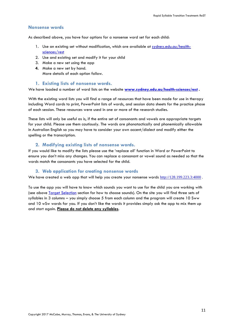# **Nonsense words**

As described above, you have four options for a nonsense word set for each child:

- 1. Use an existing set without modification, which are available at sydney.edu.au/healthsciences/rest
- 2. Use and existing set and modify it for your child
- 3. Make a new set using the app
- **4.** Make a new set by hand. More details of each option follow.

# **1. Existing lists of nonsense words.**

We have loaded a number of word lists on the website **www.sydney.edu.au/health-sciences/rest .** 

With the existing word lists you will find a range of resources that have been made for use in therapy including Word cards to print, PowerPoint lists of words, and session data sheets for the practice phase of each session. These resources were used in one or more of the research studies.

These lists will only be useful as is, if the entire set of consonants and vowels are appropriate targets for your child. Please use them cautiously. The words are phonotactically and phonemically allowable in Australian English so you may have to consider your own accent/dialect and modify either the spelling or the transcription.

#### **2. Modifying existing lists of nonsense words.**

If you would like to modify the lists please use the 'replace all' function in Word or PowerPoint to ensure you don't miss any changes. You can replace a consonant or vowel sound as needed so that the words match the consonants you have selected for the child.

# **3. Web application for creating nonsense words**

We have created a web app that will help you create your nonsense words http://128.199.223.3:4000.

To use the app you will have to know which sounds you want to use for the child you are working with (see above **Target Selection** section for how to choose sounds). On the site you will find three sets of syllables in 3 columns – you simply choose 5 from each column and the program will create 10 Sww and 10 wSw words for you. If you don't like the words it provides simply ask the app to mix them up and start again. **Please do not delete any syllables**.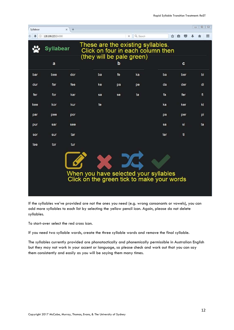| Syllabear |                    | $+$<br>$\pmb{\times}$ |                           |    |                                   |                                                                                     |          | $\qquad \qquad \Box$<br>$\mathbb{R}$<br>$\Box$ |
|-----------|--------------------|-----------------------|---------------------------|----|-----------------------------------|-------------------------------------------------------------------------------------|----------|------------------------------------------------|
| (i)       | 128.199.223.3:4000 |                       |                           | ×  | Q Search                          |                                                                                     | ☆ 自<br>▽ | ≡                                              |
|           | Syllabear          |                       | (they will be pale green) |    | These are the existing syllables. | Click on four in each column then                                                   |          |                                                |
|           | a                  |                       |                           | b  |                                   |                                                                                     | c        |                                                |
| bar       | bee                | dor                   | ba                        | fe | ka                                | ba                                                                                  | ber      | bi                                             |
| dur       | far                | fee                   | ke                        | pa | pe                                | da                                                                                  | der      | di                                             |
| fer       | for                | kar                   | sa                        | se | ta                                | fa                                                                                  | fer      | fi                                             |
| kee       | kor                | kur                   | te                        |    |                                   | ka                                                                                  | ker      | ki                                             |
| par       | pee                | por                   |                           |    |                                   | pa                                                                                  | per      | pi                                             |
| pur       | sar                | see                   |                           |    |                                   | sa                                                                                  | si       | ta                                             |
| sor       | sur                | tar                   |                           |    |                                   | ter                                                                                 | ti       |                                                |
| tee       | tor                | tur                   |                           |    |                                   |                                                                                     |          |                                                |
|           |                    |                       |                           |    |                                   | When you have selected your syllables<br>Click on the green tick to make your words |          |                                                |

If the syllables we've provided are not the ones you need (e.g. wrong consonants or vowels), you can add more syllables to each list by selecting the yellow pencil icon. Again, please do not delete syllables.

To start-over select the red cross icon.

If you need two syllable words, create the three syllable words and remove the final syllable.

The syllables currently provided are phonotactically and phonemically permissible in Australian English but they may not work in your accent or language, so please check and work out that you can say them consistently and easily as you will be saying them many times.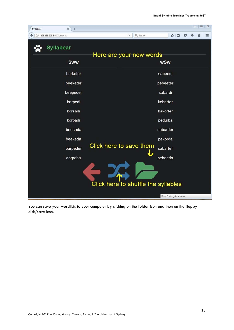

You can save your wordlists to your computer by clicking on the folder icon and then on the floppy disk/save icon.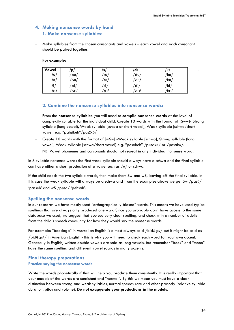‐

# **4. Making nonsense words by hand 1. Make nonsense syllables:**

‐ Make syllables from the chosen consonants and vowels – each vowel and each consonant should be paired together.

#### **For example:**

| Vowel          | p    | - 31      | . .<br>a | 'N        |
|----------------|------|-----------|----------|-----------|
| ′υ,            | `p∪  | <b>SU</b> | du       | 'ku       |
| a <sub>l</sub> | 'pa/ | sa/       | 'da/     | $/$ ka    |
|                | pi   | 'si       | di       | . .<br>ΚI |
| Ιэ,            | /eq  | ′sə∕      | də/      | /kə/      |

# **2. Combine the nonsense syllables into nonsense words:**

- ‐ From the **nonsense syllables** you will need to **compile nonsense words** at the level of complexity suitable for the individual child. Create 10 words with the format of [Sww]- Strong syllable (long vowel), Weak syllable [schwa or short vowel], Weak syllable [schwa/short vowel] e.g. "pahsikeh"/pasIka/
- ‐ Create 10 words with the format of [wSw] -Weak syllable [schwa], Strong syllable (long vowel), Weak syllable [schwa/short vowel] e.g. "pesakeh" /p@saka/ or /p@sak^/. NB: Vowel phonemes and consonants should not repeat in any individual nonsense word.

In 3 syllable nonsense words the first weak syllable should always have a schwa and the final syllable can have either a short production of a vowel such as  $/\Lambda/$  or schwa.

If the child needs the two syllable words, then make them Sw and wS, leaving off the final syllable. In this case the weak syllable will always be a schwa and from the examples above we get Sw  $/$ pas $\partial$ / 'passeh' and wS  $/p$ asa/ 'pehsah'.

# **Spelling the nonsense words**

In our research we have mostly used "orthographically biased" words. This means we have used typical spellings that are always only produced one way. Since you probably don't have access to the same database we used, we suggest that you use very clear spelling, and check with a number of adults from the child's speech community for how they would say the nonsense words.

For example: "beedega" in Australian English is almost always said /bidəg∧/ but it might be said as

/bidəgaʳ/ in American English - this is why you will need to check each word for your own accent. Generally in English, written double vowels are said as long vowels, but remember "book" and "moon" have the same spelling and different vowel sounds in many accents.

# **Final therapy preparations Practice saying the nonsense words**

Write the words phonetically if that will help you produce them consistently. It is really important that your models of the words are consistent and "normal". By this we mean you must have a clear distinction between strong and weak syllables, normal speech rate and other prosody (relative syllable duration, pitch and volume). **Do not exaggerate your productions in the models.**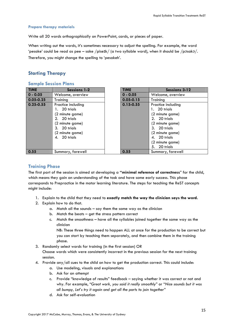#### **Prepare therapy materials**

Write all 20 words orthographically on PowerPoint, cards, or pieces of paper.

When writing out the words, it's sometimes necessary to adjust the spelling. For example, the word 'pesake' could be read as pee – sake /piseIk/ (a two syllable word), when it should be /p $\sigma$ sak $\sigma$ /. Therefore, you might change the spelling to 'pesakeh'.

# **Starting Therapy**

#### **Sample Session Plans**

| <b>TIME</b>   | <b>Sessions 1-2</b>                                                                                                                         | <b>TIME</b>   | Sessions 3-12                                                                                                                                                                  |
|---------------|---------------------------------------------------------------------------------------------------------------------------------------------|---------------|--------------------------------------------------------------------------------------------------------------------------------------------------------------------------------|
| $0 - 0.05$    | Welcome, overview                                                                                                                           | $0 - 0.05$    | Welcome, overview                                                                                                                                                              |
| $0.05 - 0.25$ | Training                                                                                                                                    | $0.05 - 0.15$ | Training                                                                                                                                                                       |
| $0.25 - 0.55$ | Practice including<br>20 trials<br>(2 minute game)<br>2. 20 trials<br>(2 minute game)<br>3. 20 trials<br>(2 minute game)<br>20 trials<br>4. | $0.15 - 0.55$ | Practice including<br>1. 20 trials<br>(2 minute game)<br>2. 20 trials<br>(2 minute game)<br>3. 20 trials<br>(2 minute game)<br>4. 20 trials<br>(2 minute game)<br>5. 20 trials |
| 0.55          | Summary, farewell                                                                                                                           | 0.55          | Summary, farewell                                                                                                                                                              |

## **Training Phase**

The first part of the session is aimed at developing a **"minimal reference of correctness**" for the child, which means they gain an understanding of the task and have some early success. This phase corresponds to Prepractice in the motor learning literature. The steps for teaching the ReST concepts might include:

- 1. Explain to the child that they need to **exactly match the way the clinician says the word.**
- 2. Explain how to do that.
	- a. Match all the sounds say them the same way as the clinician
	- b. Match the beats get the stress pattern correct
	- c. Match the smoothness have all the syllables joined together the same way as the clinician

NB: These three things need to happen ALL at once for the production to be correct but you can start by teaching them separately, and then combine them in the training phase.

3. Randomly select words for training (in the first session) OR

Choose words which were consistently incorrect in the previous session for the next training session.

- 4. Provide any/all cues to the child on how to get the production correct. This could include:
	- a. Use modeling, visuals and explanations
	- b. Ask for an attempt
	- c. Provide "knowledge of results" feedback saying whether it was correct or not and why. For example, "*Great work, you said it really smoothly*" or "*Nice sounds but it was all bumpy, Let's try it again and get all the parts to join together*"
	- d. Ask for self-evaluation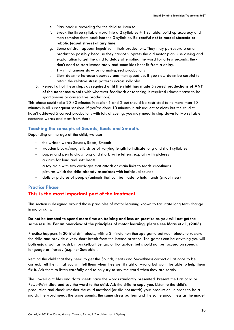- e. Play back a recording for the child to listen to
- **f.** Break the three syllable word into a 2 syllables + 1 syllable, build up accuracy and then combine them back into the 3 syllables. **Be careful not to model staccato or robotic (equal stress) at any time.**
- g. Some children appear impulsive in their productions. They may perseverate on a production possibly because they cannot suppress the old motor plan. Use cueing and explanation to get the child to delay attempting the word for a few seconds, they don't need to start immediately and some kids benefit from a delay.
- h. Try simultaneous slow- or normal-speed productions
- i. Slow down to increase accuracy and then speed up. If you slow-down be careful to retain the relative stress patterns across syllables.
- 5. Repeat all of these steps as required **until the child has made 5 correct productions of ANY of the nonsense words** with whatever feedback or teaching is required (doesn't have to be spontaneous or consecutive productions).

This phase could take 20-30 minutes in session 1 and 2 but should be restricted to no more than 10 minutes in all subsequent sessions. If you've done 10 minutes in subsequent sessions but the child still hasn't achieved 5 correct productions with lots of cueing, you may need to step down to two syllable nonsense words and start from there.

# **Teaching the concepts of Sounds, Beats and Smooth.**

Depending on the age of the child, we use:

- ‐ the written words Sounds, Beats, Smooth
- wooden blocks/magnetic strips of varying length to indicate long and short syllables
- paper and pen to draw long and short, write letters, explain with pictures
- ‐ a drum for loud and soft beats
- ‐ a toy train with two carriages that attach or chain links to teach smoothness
- ‐ pictures which the child already associates with individual sounds
- ‐ dolls or pictures of people/animals that can be made to hold hands (smoothness)

# **Practice Phase This is the most important part of the treatment**.

This section is designed around those principles of motor learning known to facilitate long term change in motor skills.

# **Do not be tempted to spend more time on training and less on practice as you will not get the same results. For an overview of the principles of motor learning, please see Maas et al., (2008).**

Practice happens in 20 trial drill blocks, with a 2 minute non therapy game between blocks to reward the child and provide a very short break from the intense practice. The games can be anything you will both enjoy, such as trash bin basketball, Jenga, or tic-tac-toe, but should not be focused on speech, language or literacy (e.g. not Scrabble).

Remind the child that they need to get the Sounds, Beats and Smoothness correct all at once to be correct. Tell them, that you will tell them when they get it right or wrong but won't be able to help them fix it. Ask them to listen carefully and to only try to say the word when they are ready.

The PowerPoint files and data sheets have the words randomly presented. Present the first card or PowerPoint slide and say the word to the child. Ask the child to copy you. Listen to the child's production and check whether the child matched (or did not match) your production. In order to be a match, the word needs the same sounds, the same stress pattern and the same smoothness as the model.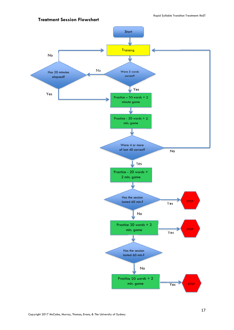

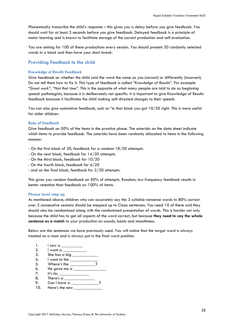Phonemically transcribe the child's response – this gives you a delay before you give feedback. You should wait for at least 3 seconds before you give feedback. Delayed feedback is a principle of motor learning and is known to facilitate storage of the correct production and self-evaluation.

You are aiming for 100 of these productions every session. You should present 20 randomly selected words in a block and then have your short break.

# **Providing Feedback to the child**

#### *Knowledge of Results* **Feedback**

Give feedback on whether the child said the word the same as you (correct) or differently (incorrect). Do not tell them how to fix it. This type of feedback is called *"Knowledge of Results*". For example "*Great work", "Not that time".* This is the opposite of what many people are told to do as beginning speech pathologists, because it is deliberately not specific. It is important to give Knowledge of Results feedback because it facilitates the child making self-directed changes to their speech.

You can also give summative feedback, such as "in that block you got 10/20 right. This is more useful for older children.

#### **Rate of Feedback**

Give feedback on 50% of the items in the practice phase. The asterisks on the data sheet indicate which items to provide feedback. The asterisks have been randomly allocated to items in the following manner:

- On the first block of 20, feedback for a random 18/20 attempts.
- On the next block, feedback for 14/20 attempts.
- On the third block, feedback for 10/20
- On the fourth block, feedback for 6/20
- and on the final block, feedback for 2/20 attempts.

This gives you random feedback on 50% of attempts. Random, low-frequency feedback results in better retention than feedback on 100% of items.

#### **Phrase level step up.**

As mentioned above, children who can accurately say the 3 syllable nonsense words to 80% correct over 2 consecutive sessions should be stepped up to Cloze sentences. You need 10 of these and they should also be randomized along with the randomized presentation of words. This is harder not only because the child has to get all aspects of the word correct, but because **they need to say the whole sentence as a match** to your production on sounds, beats and smoothness.

Below are the sentences we have previously used. You will notice that the target word is always treated as a noun and is always put in the final word position.

- 1. I saw a
- 2. I want a
- 3. She has a big  $\frac{1}{2}$
- 4. I went to the  $\frac{1}{2}$
- 5. Where's the
- 6. He gave me a  $\_\_\_\_\_\_\_\_\_\$
- $7.$  It's his 8. There's a \_\_\_\_\_\_\_\_\_\_\_\_\_\_
- 9. Can I have a \_\_\_\_\_\_\_\_\_\_\_\_\_\_?
- 10. Here's the new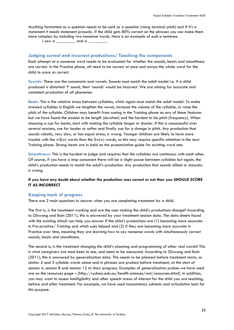Anything formatted as a question needs to be said as a question (rising terminal pitch) and if it's a statement it needs statement prosody. If the child gets 80% correct on the phrases you can make them more complex by including two nonsense words. Here is an example of such a sentence.

 $\sqrt{a}$  is a w and a  $\sqrt{a}$  and a  $\sqrt{a}$  and a  $\sqrt{a}$  and a  $\sqrt{a}$  and a  $\sqrt{a}$  and a  $\sqrt{a}$  and a  $\sqrt{a}$  and a  $\sqrt{a}$  and a  $\sqrt{a}$  and a  $\sqrt{a}$  and a  $\sqrt{a}$  and a  $\sqrt{a}$  and a  $\sqrt{a}$  and a  $\sqrt{a}$  and a  $\sqrt{$ 

#### **Judging correct and incorrect productions/ Teaching the components**

Each attempt at a nonsense word needs to be evaluated for whether the sounds, beats and smoothness are correct. In the Practice phase, all need to be correct at once and across the whole word for the child to score as correct.

**Sounds:** These are the consonants and vowels. Sounds must match the adult model i.e. if a child produced a distorted 'f' sound, their 'sounds' would be incorrect. We are aiming for accurate and consistent production of all phonemes.

**Beats:** This is the relative stress between syllables, which again must match the adult model. To make stressed syllables in English we lengthen the vowel, increase the volume of the syllable, or raise the pitch of the syllable. Children may benefit from cueing in the Training phase on any of these features but we have found the easiest to be length (duration) and the hardest to be pitch (frequency). When choosing a cue for beats, start with making the syllable longer or shorter. If this is unsuccessful over several sessions, cue for louder or softer and finally cue for a change in pitch. Any production that sounds robotic, very slow, or has equal stress, is wrong. Younger children are likely to have more trouble with the wS(w) words than the Sw(w) words, so this may require specific attention in the next Training phase. Strong beats are in bold on the pronunciation guide for existing word sets.

**Smoothness:** This is the hardest to judge and requires that the syllables are continuous with each other. Of course, if you have a stop consonant there will be a slight pause between syllables but again, the child's production needs to match the adult's production. Any production that sounds stilted or staccato is wrong.

### **If you have any doubt about whether the production was correct or not then you SHOULD SCORE IT AS INCORRECT**

## **Keeping track of progress**

There are 2 main questions to answer when you are completing treatment for a child.

The first is, is the treatment working and are the cues making the child's productions change? According to Olswang and Bain (2011), this is answered by your treatment session data. The data sheets found with the existing stimuli can help you answer if the child's productions are (1) becoming more accurate in Pre-practice/ Training and which cues helped and (2) if they are becoming more accurate in Practice over time, meaning they are learning how to say nonsense words with simultaneously correct sounds, beats and smoothness.

The second is, is the treatment changing the child's planning and programming of other real words? This is what caregivers are most keen to see, and need to be measured. According to Olswang and Bain (2011), this is answered by generalization data. This needs to be planned before treatment starts, so similar 2 and 3 syllable words alone and in phrases are probed before treatment, at the start of session 4, session 8 and session 12 to show progress. Examples of generalization probes we have used are on the resources page – [http://sydney.edu.au/health-sciences/rest/resources.shtml]. In addition, you may want to assess intelligibility and other speech areas of interest for the child you are teaching, before and after treatment. For example, we have used inconsistency subtests and articulation tests for this purpose.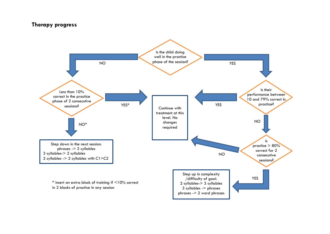# **Therapy progress**

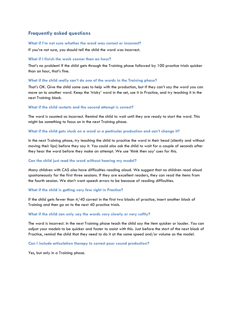# **Frequently asked questions**

#### What if I'm not sure whether the word was correct or incorrect?

If you're not sure, you should tell the child the word was incorrect.

#### **What if I finish the work sooner than an hour?**

That's no problem! If the child gets through the Training phase followed by 100 practice trials quicker than an hour, that's fine.

#### **What if the child really can't do one of the words in the Training phase?**

That's OK. Give the child some cues to help with the production, but if they can't say the word you can move on to another word. Keep the 'tricky' word in the set, use it in Practice, and try teaching it in the next Training block.

#### **What if the child restarts and the second attempt is correct?**

The word is counted as incorrect. Remind the child to wait until they are ready to start the word. This might be something to focus on in the next Training phase.

#### **What if the child gets stuck on a word or a particular production and can't change it?**

In the next Training phase, try teaching the child to practice the word in their head (silently and without moving their lips) before they say it. You could also ask the child to wait for a couple of seconds after they hear the word before they make an attempt. We use 'think then say' cues for this.

#### **Can the child just read the word without hearing my model?**

Many children with CAS also have difficulties reading aloud. We suggest that no children read aloud spontaneously for the first three sessions. If they are excellent readers, they can read the items from the fourth session. We don't want speech errors to be because of reading difficulties.

#### **What if the child is getting very few right in Practice?**

If the child gets fewer than 4/40 correct in the first two blocks of practice, insert another block of Training and then go on to the next 40 practice trials.

#### **What if the child can only say the words very slowly or very softly?**

The word is incorrect. In the next Training phase teach the child say the item quicker or louder. You can adjust your models to be quicker and faster to assist with this. Just before the start of the next block of Practice, remind the child that they need to do it at the same speed and/or volume as the model.

#### **Can I include articulation therapy to correct poor sound production?**

Yes, but only in a Training phase.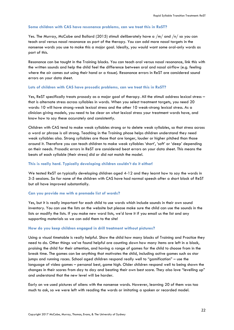#### **Some children with CAS have resonance problems, can we treat this in ReST?**

Yes. The Murray, McCabe and Ballard (2015) stimuli deliberately have a /m/ and /n/ so you can teach oral versus nasal resonance as part of the therapy. You can add more nasal targets in the nonsense words you use to make this a major goal. Ideally, you would want some oral-only words as part of this.

Resonance can be taught in the Training blocks. You can teach oral versus nasal resonance, link this with the written sounds and help the child feel the difference between oral and nasal airflow (e.g. feeling where the air comes out using their hand or a tissue). Resonance errors in ReST are considered sound errors on your data sheet.

#### **Lots of children with CAS have prosodic problems, can we treat this in ReST?**

Yes, ReST specifically treats prosody as a major goal of therapy. All the stimuli address lexical stress – that is alternate stress across syllables in words. When you select treatment targets, you need 20 words: 10 will have strong-weak lexical stress and the other 10 weak-strong lexical stress. As a clinician giving models, you need to be clear on what lexical stress your treatment words have, and know how to say these accurately and consistently.

Children with CAS tend to make weak syllables strong or to delete weak syllables, so that stress across a word or phrase is all strong. Teaching in the Training phase helps children understand they need weak syllables also. Strong syllables are those that are longer, louder or higher pitched than those around it. Therefore you can teach children to make weak syllables 'short', 'soft' or 'deep' depending on their needs. Prosodic errors in ReST are considered beat errors on your data sheet. This means the beats of each syllable (their stress) did or did not match the model.

#### **This is really hard. Typically developing children couldn't do it either!**

We tested ReST on typically developing children aged 4-12 and they learnt how to say the words in 3-5 sessions. So far none of the children with CAS have had normal speech after a short block of ReST but all have improved substantially.

#### **Can you provide me with a premade list of words?**

Yes, but it is really important for each child to use words which include sounds in their own sound inventory. You can use the lists on the website but please make sure the child can use the sounds in the lists or modify the lists. If you make new word lists, we'd love it if you email us the list and any supporting materials so we can add them to the site!

#### **How do you keep children engaged in drill treatment without pictures?**

Using a visual timetable is really helpful. Show the child how many blocks of Training and Practice they need to do. Other things we've found helpful are counting down how many items are left in a block, praising the child for their attention, and having a range of games for the child to choose from in the break time. The games can be anything that motivates the child, including active games such as star jumps and running races. School aged children respond really well to "gamification" – use the language of video games – personal best, game high. Older children respond well to being shown the changes in their scores from day to day and beating their own best score. They also love "levelling up" and understand that the new level will be harder.

Early on we used pictures of aliens with the nonsense words. However, learning 20 of them was too much to ask, so we were left with reading the words or imitating a spoken or recorded model.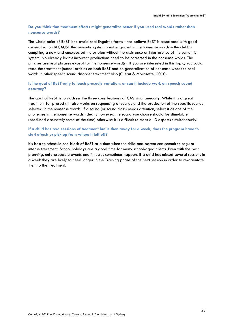## **Do you think that treatment effects might generalize better if you used real words rather than nonsense words?**

The whole point of ReST is to avoid real linguistic forms – we believe ReST is associated with good generalisation BECAUSE the semantic system is not engaged in the nonsense words – the child is compiling a new and unexpected motor plan without the assistance or interference of the semantic system. No already learnt incorrect productions need to be corrected in the nonsense words. The phrases are real phrases except for the nonsense word(s). If you are interested in this topic, you could read the treatment journal articles on both ReST and on generalization of nonsense words to real words in other speech sound disorder treatment also (Gierut & Morrisette, 2010).

# **Is the goal of ReST only to teach prosodic variation, or can it include work on speech sound accuracy?**

The goal of ReST is to address the three core features of CAS simultaneously. While it is a great treatment for prosody, it also works on sequencing of sounds and the production of the specific sounds selected in the nonsense words. If a sound (or sound class) needs attention, select it as one of the phonemes in the nonsense words. Ideally however, the sound you choose should be stimulable (produced accurately some of the time) otherwise it is difficult to treat all 3 aspects simultaneously.

#### **If a child has two sessions of treatment but is then away for a week, does the program have to start afresh or pick up from where it left off?**

It's best to schedule one block of ReST at a time when the child and parent can commit to regular intense treatment. School holidays are a good time for many school-aged clients. Even with the best planning, unforeseeable events and illnesses sometimes happen. If a child has missed several sessions in a week they are likely to need longer in the Training phase of the next session in order to re-orientate them to the treatment.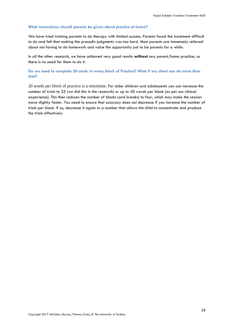#### **What instructions should parents be given about practice at home?**

We have tried training parents to do therapy with limited success. Parents found the treatment difficult to do and felt that making the prosodic judgments was too hard. Most parents are immensely relieved about not having to do homework and value the opportunity just to be parents for a while.

In all the other research, we have achieved very good results **without** any parent/home practice, so there is no need for them to do it.

### **Do we need to complete 20 cards in every block of Practice? What if my client can do more than that?**

20 words per block of practice is a minimum. For older children and adolescents you can increase the number of trials to 25 (we did this in the research) or up to 40 words per block (as per our clinical experience). This then reduces the number of blocks (and breaks) to four, which may make the session move slightly faster. You need to ensure that accuracy does not decrease if you increase the number of trials per block. If so, decrease it again to a number that allows the child to concentrate and produce the trials effectively.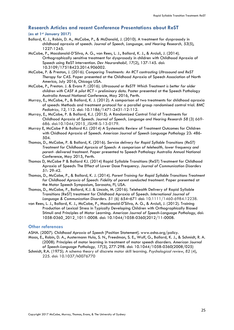# **Research Articles and recent Conference Presentations about ReST**

#### **(as at 1st January 2017)**

- Ballard, K. J., Robin, D. A., McCabe, P., & McDonald, J. (2010). A treatment for dysprosody in childhood apraxia of speech. *Journal of Speech, Language, and Hearing Research, 53*(5), 1227-1245.
- McCabe, P., Macdonald-D'Silva, A. G., van Rees, L. J., Ballard, K. J., & Arciuli, J. (2014). Orthographically sensitive treatment for dysprosody in children with Childhood Apraxia of Speech using ReST intervention. *Dev Neurorehabil, 17*(2), 137-145. doi: 10.3109/17518423.2014.906002.
- McCabe, P. & Preston, J. (2016). *Comparing Treatments: An RCT contrasting Ultrasound and ReST Therapy for CAS*. Paper presented at the Childhood Apraxia of Speech Association of North America, July 2016, Chicago USA.
- McCabe, P., Preston. J. & Evans P. (2016). *Ultrasound or ReST? Which Treatment is better for older children with CAS? A pilot RCT – preliminary data*. Poster presented at the Speech Pathology Australia Annual National Conference, May 2016, Perth.
- Murray, E., McCabe, P., & Ballard, K. J. (2012). A comparison of two treatments for childhood apraxia of speech: Methods and treatment protocol for a parallel group randomised control trial. *BMC Pediatrics, 12*, 112. doi: 10.1186/1471-2431-12-112.
- Murray, E., McCabe, P. & Ballard, K.J. (2015). A Randomized Control Trial of Treatments for Childhood Apraxia of Speech. *Journal of Speech, Language and Hearing Research 58* (3) 669- 686. doi:10.1044/2015\_JSLHR-S-13-0179.
- Murray E, McCabe P & Ballard KJ. (2014) A Systematic Review of Treatment Outcomes for Children with Chidhood Apraxia of Speech. *American Journal of Speech Language Pathology* 23: 486- 504.
- Thomas, D., McCabe, P. & Ballard, K. (2016). *Service delivery for Rapid Syllable Transitions (ReST) Treatment for Childhood Apraxia of Speech: A comparison of telehealth, lower frequency and parent- delivered treatment*. Paper presented to Speech Pathology Australia Annual National Conference, May 2015, Perth.
- Thomas D, McCabe P & Ballard KJ. (2014) Rapid Syllable Transitions (ReST) Treatment for Childhood Apraxia of Speech: The Effect of Lower Dose Frequency. *Journal of Communication Disorders 51*: 29-42.
- Thomas, D., McCabe, P., & Ballard, K. J. (2014). *Parent Training for Rapid Syllable Transitions Treatment*  for Childhood Apraxia of Speech: Fidelity of parent conducted treatment. Paper presented at the Motor Speech Symposium, Sarasota, Fl, USA.
- Thomas, D., McCabe, P., Ballard, K.J. & Lincoln, M. (2016). Telehealth Delivery of Rapid Syllable Transitions (ReST) treatment for Childhood Apraxia of Speech. *International Journal of Language & Communication Disorders. 51 (6)* 654–671 doi: 10.1111/1460-6984.12238.
- van Rees, L. J., Ballard, K. J., McCabe, P., Macdonald-D'Silva, A. G., & Arciuli, J. (2012). Training Production of Lexical Stress in Typically Developing Children with Orthographically Biased Stimuli and Principles of Motor Learning. *American Journal of Speech-Language Pathology*, doi: 1058-0360\_2012\_1011-0008. doi: 10.1044/1058-0360(2012/11-0008.

#### **Other references**

ASHA. (2007). *Childhood Apraxia of Speech* [Position Statement]. www.asha.org/policy.

- Maas, E., Robin, D. A., Austermann Hula, S. N., Freedman, S. E., Wulf, G., Ballard, K. J., & Schmidt, R. A. (2008). Principles of motor learning in treatment of motor speech disorders. *American Journal of Speech-Language Pathology, 17*(3), 277-298. doi: 10.1044/1058-0360(2008/025)
- Schmidt, R.A. (1975). A schema theory of discrete motor skill learning. *Psychological review*, *82* (4), 225. doi: 10.1037/h0076770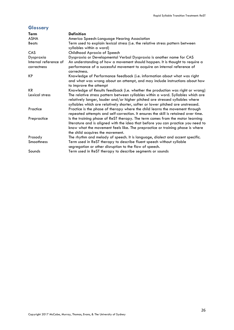# **Glossary**

| Term                  | <b>Definition</b>                                                                                                                                                                                                                                                                      |
|-----------------------|----------------------------------------------------------------------------------------------------------------------------------------------------------------------------------------------------------------------------------------------------------------------------------------|
| <b>ASHA</b>           | America Speech-Language Hearing Association                                                                                                                                                                                                                                            |
| <b>Beats</b>          | Term used to explain lexical stress (i.e. the relative stress pattern between<br>syllables within a word)                                                                                                                                                                              |
| CAS                   | Childhood Apraxia of Speech                                                                                                                                                                                                                                                            |
| Dyspraxia             | Dyspraxia or Developmental Verbal Dyspraxia is another name for CAS                                                                                                                                                                                                                    |
| Internal reference of | An understanding of how a movement should happen. It is thought to require a                                                                                                                                                                                                           |
| correctness           | performance of a successful movement to acquire an internal reference of<br>correctness.                                                                                                                                                                                               |
| <b>KP</b>             | Knowledge of Performance feedback (i.e. information about what was right<br>and what was wrong about an attempt, and may include instructions about how<br>to improve the attempt                                                                                                      |
| <b>KR</b>             | Knowledge of Results feedback (i.e. whether the production was right or wrong)                                                                                                                                                                                                         |
| Lexical stress        | The relative stress pattern between syllables within a word. Syllables which are<br>relatively longer, louder and/or higher pitched are stressed syllables where<br>syllables which are relatively shorter, softer or lower pitched are unstressed.                                    |
| Practice              | Practice is the phase of therapy where the child learns the movement through<br>repeated attempts and self-correction. It ensures the skill is retained over time.                                                                                                                     |
| Prepractice           | Is the training phase of ReST therapy. The term comes from the motor learning<br>literature and is aligned with the idea that before you can practice you need to<br>know what the movement feels like. The prepractice or training phase is where<br>the child acquires the movement. |
| Prosody               | The rhythm and melody of speech. It is language, dialect and accent specific.                                                                                                                                                                                                          |
| <b>Smoothness</b>     | Term used in ReST therapy to describe fluent speech without syllable<br>segregation or other disruption to the flow of speech.                                                                                                                                                         |
| Sounds                | Term used in ReST therapy to describe segments or sounds                                                                                                                                                                                                                               |